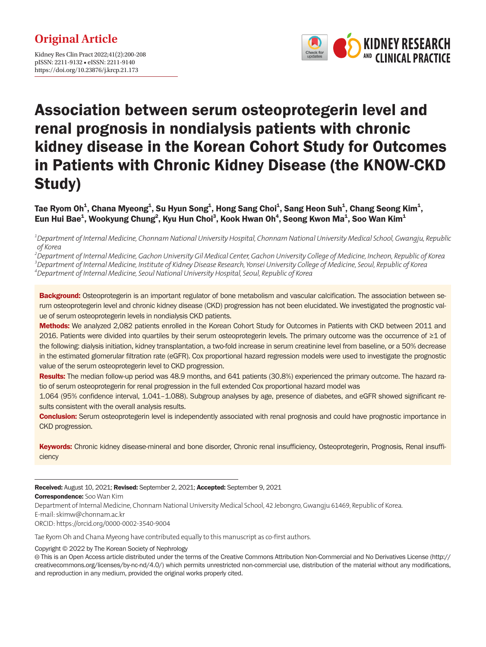Kidney Res Clin Pract 2022;41(2):200-208 pISSN: 2211-9132 • eISSN: 2211-9140 https://doi.org/10.23876/j.krcp.21.173



# Association between serum osteoprotegerin level and renal prognosis in nondialysis patients with chronic kidney disease in the Korean Cohort Study for Outcomes in Patients with Chronic Kidney Disease (the KNOW-CKD Study)

Tae Ryom Oh $^1$ , Chana Myeong $^1$ , Su Hyun Song $^1$ , Hong Sang Choi $^1$ , Sang Heon Suh $^1$ , Chang Seong Kim $^1$ , Eun Hui Bae<sup>1</sup>, Wookyung Chung<sup>2</sup>, Kyu Hun Choi<sup>3</sup>, Kook Hwan Oh<sup>4</sup>, Seong Kwon Ma<sup>1</sup>, Soo Wan Kim<sup>1</sup>

*1 Department of Internal Medicine, Chonnam National University Hospital, Chonnam National University Medical School, Gwangju, Republic of Korea*

*2 Department of Internal Medicine, Gachon University Gil Medical Center, Gachon University College of Medicine, Incheon, Republic of Korea 3 Department of Internal Medicine, Institute of Kidney Disease Research, Yonsei University College of Medicine, Seoul, Republic of Korea 4 Department of Internal Medicine, Seoul National University Hospital, Seoul, Republic of Korea*

**Background:** Osteoprotegerin is an important regulator of bone metabolism and vascular calcification. The association between serum osteoprotegerin level and chronic kidney disease (CKD) progression has not been elucidated. We investigated the prognostic value of serum osteoprotegerin levels in nondialysis CKD patients.

Methods: We analyzed 2,082 patients enrolled in the Korean Cohort Study for Outcomes in Patients with CKD between 2011 and 2016. Patients were divided into quartiles by their serum osteoprotegerin levels. The primary outcome was the occurrence of ≥1 of the following: dialysis initiation, kidney transplantation, a two-fold increase in serum creatinine level from baseline, or a 50% decrease in the estimated glomerular filtration rate (eGFR). Cox proportional hazard regression models were used to investigate the prognostic value of the serum osteoprotegerin level to CKD progression.

Results: The median follow-up period was 48.9 months, and 641 patients (30.8%) experienced the primary outcome. The hazard ratio of serum osteoprotegerin for renal progression in the full extended Cox proportional hazard model was

1.064 (95% confidence interval, 1.041–1.088). Subgroup analyses by age, presence of diabetes, and eGFR showed significant results consistent with the overall analysis results.

**Conclusion:** Serum osteoprotegerin level is independently associated with renal prognosis and could have prognostic importance in CKD progression.

Keywords: Chronic kidney disease-mineral and bone disorder, Chronic renal insufficiency, Osteoprotegerin, Prognosis, Renal insufficiency

Received: August 10, 2021; Revised: September 2, 2021; Accepted: September 9, 2021 Correspondence: Soo Wan Kim Department of Internal Medicine, Chonnam National University Medical School, 42 Jebongro, Gwangju 61469, Republic of Korea. E-mail: skimw@chonnam.ac.kr ORCID: https://orcid.org/0000-0002-3540-9004

Tae Ryom Oh and Chana Myeong have contributed equally to this manuscript as co-first authors.

Copyright © 2022 by The Korean Society of Nephrology

 This is an Open Access article distributed under the terms of the Creative Commons Attribution Non-Commercial and No Derivatives License (http:// creativecommons.org/licenses/by-nc-nd/4.0/) which permits unrestricted non-commercial use, distribution of the material without any modifications, and reproduction in any medium, provided the original works properly cited.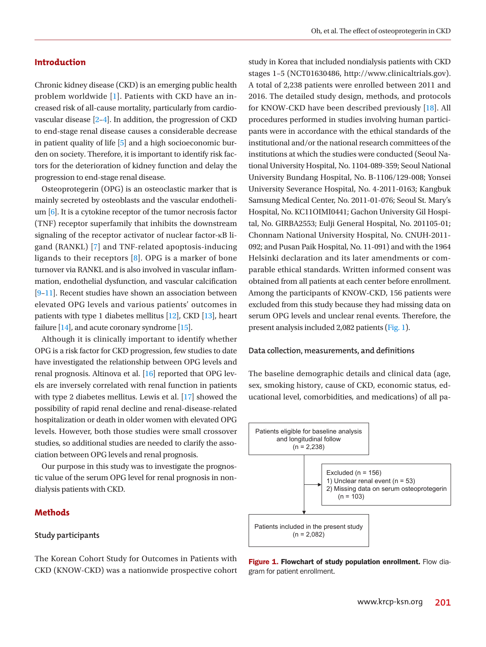#### **Introduction**

Chronic kidney disease (CKD) is an emerging public health problem worldwide [\[1](#page-6-0)]. Patients with CKD have an increased risk of all-cause mortality, particularly from cardiovascular disease [\[2–](#page-6-1)[4](#page-6-2)]. In addition, the progression of CKD to end-stage renal disease causes a considerable decrease in patient quality of life [\[5](#page-6-3)] and a high socioeconomic burden on society. Therefore, it is important to identify risk factors for the deterioration of kidney function and delay the progression to end-stage renal disease.

Osteoprotegerin (OPG) is an osteoclastic marker that is mainly secreted by osteoblasts and the vascular endothelium [\[6\]](#page-6-4). It is a cytokine receptor of the tumor necrosis factor (TNF) receptor superfamily that inhibits the downstream signaling of the receptor activator of nuclear factor-κB ligand (RANKL) [\[7\]](#page-7-0) and TNF-related apoptosis-inducing ligands to their receptors [\[8\]](#page-7-1). OPG is a marker of bone turnover via RANKL and is also involved in vascular inflammation, endothelial dysfunction, and vascular calcification [\[9–](#page-7-2)[11](#page-7-3)]. Recent studies have shown an association between elevated OPG levels and various patients' outcomes in patients with type 1 diabetes mellitus [\[12](#page-7-4)], CKD [\[13](#page-7-5)], heart failure [\[14](#page-7-6)], and acute coronary syndrome [\[15\]](#page-7-7).

Although it is clinically important to identify whether OPG is a risk factor for CKD progression, few studies to date have investigated the relationship between OPG levels and renal prognosis. Altinova et al. [\[16\]](#page-7-8) reported that OPG levels are inversely correlated with renal function in patients with type 2 diabetes mellitus. Lewis et al. [\[17](#page-7-9)] showed the possibility of rapid renal decline and renal-disease-related hospitalization or death in older women with elevated OPG levels. However, both those studies were small crossover studies, so additional studies are needed to clarify the association between OPG levels and renal prognosis.

Our purpose in this study was to investigate the prognostic value of the serum OPG level for renal prognosis in nondialysis patients with CKD.

#### **Methods**

#### **Study participants**

The Korean Cohort Study for Outcomes in Patients with CKD (KNOW-CKD) was a nationwide prospective cohort

study in Korea that included nondialysis patients with CKD stages 1–5 (NCT0163048[6, http://www.clinicaltrials.gov\).](http://www.clinicaltrials.gov)  [A total of 2,238](http://www.clinicaltrials.gov) patients were enrolled between 2011 and 2016. The detailed study design, methods, and protocols for KNOW-CKD have been described previously [[18](#page-7-10)]. All procedures performed in studies involving human participants were in accordance with the ethical standards of the institutional and/or the national research committees of the institutions at which the studies were conducted (Seoul National University Hospital, No. 1104-089-359; Seoul National University Bundang Hospital, No. B-1106/129-008; Yonsei University Severance Hospital, No. 4-2011-0163; Kangbuk Samsung Medical Center, No. 2011-01-076; Seoul St. Mary's Hospital, No. KC11OIMI0441; Gachon University Gil Hospital, No. GIRBA2553; Eulji General Hospital, No. 201105-01; Chonnam National University Hospital, No. CNUH-2011- 092; and Pusan Paik Hospital, No. 11-091) and with the 1964 Helsinki declaration and its later amendments or comparable ethical standards. Written informed consent was obtained from all patients at each center before enrollment. Among the participants of KNOW-CKD, 156 patients were excluded from this study because they had missing data on serum OPG levels and unclear renal events. Therefore, the present analysis included 2,082 patients (Fig. 1).

#### **Data collection, measurements, and definitions**

The baseline demographic details and clinical data (age, sex, smoking history, cause of CKD, economic status, educational level, comorbidities, and medications) of all pa-



Figure 1. Flowchart of study population enrollment. Flow diagram for patient enrollment.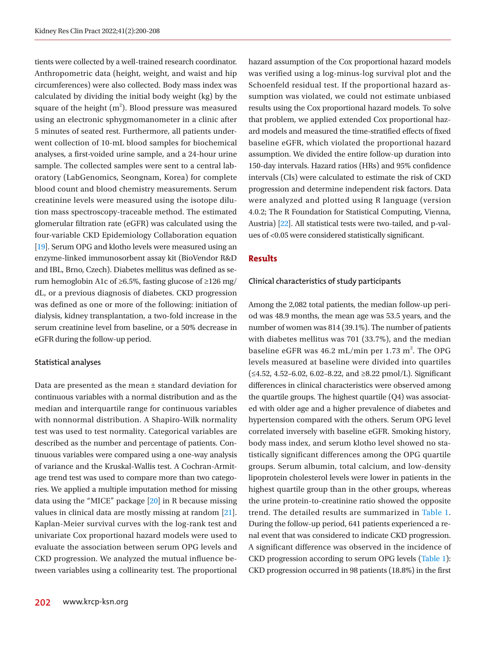tients were collected by a well-trained research coordinator. Anthropometric data (height, weight, and waist and hip circumferences) were also collected. Body mass index was calculated by dividing the initial body weight (kg) by the square of the height  $(m^2)$ . Blood pressure was measured using an electronic sphygmomanometer in a clinic after 5 minutes of seated rest. Furthermore, all patients underwent collection of 10-mL blood samples for biochemical analyses, a first-voided urine sample, and a 24-hour urine sample. The collected samples were sent to a central laboratory (LabGenomics, Seongnam, Korea) for complete blood count and blood chemistry measurements. Serum creatinine levels were measured using the isotope dilution mass spectroscopy-traceable method. The estimated glomerular filtration rate (eGFR) was calculated using the four-variable CKD Epidemiology Collaboration equation [\[19](#page-7-11)]. Serum OPG and klotho levels were measured using an enzyme-linked immunosorbent assay kit (BioVendor R&D and IBL, Brno, Czech). Diabetes mellitus was defined as serum hemoglobin A1c of ≥6.5%, fasting glucose of  $\geq$ 126 mg/ dL, or a previous diagnosis of diabetes. CKD progression was defined as one or more of the following: initiation of dialysis, kidney transplantation, a two-fold increase in the serum creatinine level from baseline, or a 50% decrease in eGFR during the follow-up period.

#### **Statistical analyses**

Data are presented as the mean ± standard deviation for continuous variables with a normal distribution and as the median and interquartile range for continuous variables with nonnormal distribution. A Shapiro-Wilk normality test was used to test normality. Categorical variables are described as the number and percentage of patients. Continuous variables were compared using a one-way analysis of variance and the Kruskal-Wallis test. A Cochran-Armitage trend test was used to compare more than two categories. We applied a multiple imputation method for missing data using the "MICE" package [[20\]](#page-7-12) in R because missing values in clinical data are mostly missing at random [\[21\]](#page-7-13). Kaplan-Meier survival curves with the log-rank test and univariate Cox proportional hazard models were used to evaluate the association between serum OPG levels and CKD progression. We analyzed the mutual influence between variables using a collinearity test. The proportional

results using the Cox proportional hazard models. To solve that problem, we applied extended Cox proportional hazard models and measured the time-stratified effects of fixed baseline eGFR, which violated the proportional hazard assumption. We divided the entire follow-up duration into 150-day intervals. Hazard ratios (HRs) and 95% confidence intervals (CIs) were calculated to estimate the risk of CKD progression and determine independent risk factors. Data were analyzed and plotted using R language (version 4.0.2; The R Foundation for Statistical Computing, Vienna, Austria) [\[22\]](#page-7-14). All statistical tests were two-tailed, and p-values of <0.05 were considered statistically significant. **Results Clinical characteristics of study participants** 

hazard assumption of the Cox proportional hazard models was verified using a log-minus-log survival plot and the Schoenfeld residual test. If the proportional hazard assumption was violated, we could not estimate unbiased

Among the 2,082 total patients, the median follow-up period was 48.9 months, the mean age was 53.5 years, and the number of women was 814 (39.1%). The number of patients with diabetes mellitus was 701 (33.7%), and the median baseline eGFR was 46.2 mL/min per 1.73 m<sup>2</sup>. The OPG levels measured at baseline were divided into quartiles (≤4.52, 4.52–6.02, 6.02–8.22, and ≥8.22 pmol/L). Significant differences in clinical characteristics were observed among the quartile groups. The highest quartile (Q4) was associated with older age and a higher prevalence of diabetes and hypertension compared with the others. Serum OPG level correlated inversely with baseline eGFR. Smoking history, body mass index, and serum klotho level showed no statistically significant differences among the OPG quartile groups. Serum albumin, total calcium, and low-density lipoprotein cholesterol levels were lower in patients in the highest quartile group than in the other groups, whereas the urine protein-to-creatinine ratio showed the opposite trend. The detailed results are summarized in Table 1. During the follow-up period, 641 patients experienced a renal event that was considered to indicate CKD progression. A significant difference was observed in the incidence of CKD progression according to serum OPG levels (Table 1): CKD progression occurred in 98 patients (18.8%) in the first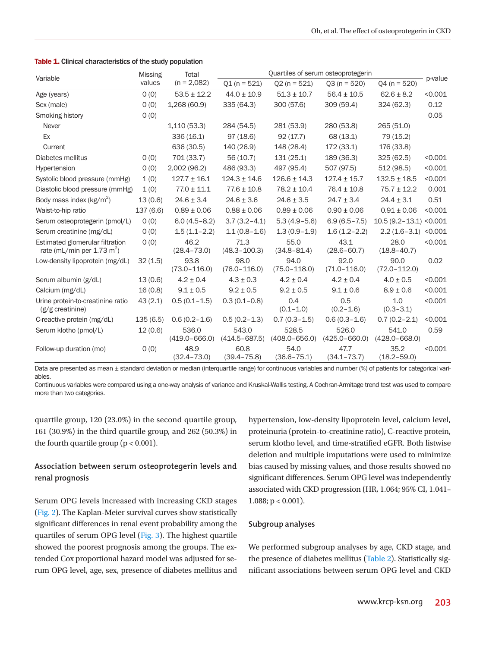|  |  | <b>Table 1.</b> Clinical characteristics of the study population |  |  |  |
|--|--|------------------------------------------------------------------|--|--|--|
|--|--|------------------------------------------------------------------|--|--|--|

|                                                                           | <b>Missing</b><br>values | Total<br>$(n = 2,082)$     | Quartiles of serum osteoprotegerin |                            |                            |                            |         |
|---------------------------------------------------------------------------|--------------------------|----------------------------|------------------------------------|----------------------------|----------------------------|----------------------------|---------|
| Variable                                                                  |                          |                            | $Q1(n = 521)$                      | $Q2(n = 521)$              | $Q3(n = 520)$              | $Q4(n = 520)$              | p-value |
| Age (years)                                                               | 0(0)                     | $53.5 \pm 12.2$            | $44.0 \pm 10.9$                    | $51.3 \pm 10.7$            | $56.4 \pm 10.5$            | $62.6 \pm 8.2$             | < 0.001 |
| Sex (male)                                                                | 0(0)                     | 1,268 (60.9)               | 335 (64.3)                         | 300 (57.6)                 | 309 (59.4)                 | 324 (62.3)                 | 0.12    |
| Smoking history                                                           | 0(0)                     |                            |                                    |                            |                            |                            | 0.05    |
| Never                                                                     |                          | 1,110(53.3)                | 284 (54.5)                         | 281 (53.9)                 | 280 (53.8)                 | 265 (51.0)                 |         |
| Ex                                                                        |                          | 336(16.1)                  | 97(18.6)                           | 92(17.7)                   | 68 (13.1)                  | 79 (15.2)                  |         |
| Current                                                                   |                          | 636 (30.5)                 | 140 (26.9)                         | 148 (28.4)                 | 172 (33.1)                 | 176 (33.8)                 |         |
| Diabetes mellitus                                                         | 0(0)                     | 701 (33.7)                 | 56(10.7)                           | 131(25.1)                  | 189 (36.3)                 | 325(62.5)                  | < 0.001 |
| Hypertension                                                              | 0(0)                     | 2,002(96.2)                | 486 (93.3)                         | 497 (95.4)                 | 507 (97.5)                 | 512(98.5)                  | < 0.001 |
| Systolic blood pressure (mmHg)                                            | 1(0)                     | $127.7 \pm 16.1$           | $124.3 \pm 14.6$                   | $126.6 \pm 14.3$           | $127.4 \pm 15.7$           | $132.5 \pm 18.5$           | < 0.001 |
| Diastolic blood pressure (mmHg)                                           | 1(0)                     | $77.0 \pm 11.1$            | $77.6 \pm 10.8$                    | $78.2 \pm 10.4$            | $76.4 \pm 10.8$            | $75.7 \pm 12.2$            | 0.001   |
| Body mass index ( $kg/m2$ )                                               | 13(0.6)                  | $24.6 \pm 3.4$             | $24.6 \pm 3.6$                     | $24.6 \pm 3.5$             | $24.7 \pm 3.4$             | $24.4 \pm 3.1$             | 0.51    |
| Waist-to-hip ratio                                                        | 137(6.6)                 | $0.89 \pm 0.06$            | $0.88 \pm 0.06$                    | $0.89 \pm 0.06$            | $0.90 \pm 0.06$            | $0.91 \pm 0.06$            | < 0.001 |
| Serum osteoprotegerin (pmol/L)                                            | O(0)                     | $6.0(4.5 - 8.2)$           | $3.7(3.2 - 4.1)$                   | $5.3(4.9-5.6)$             | $6.9(6.5 - 7.5)$           | $10.5(9.2 - 13.1) < 0.001$ |         |
| Serum creatinine (mg/dL)                                                  | O(0)                     | $1.5(1.1 - 2.2)$           | $1.1(0.8-1.6)$                     | $1.3(0.9 - 1.9)$           | $1.6(1.2 - 2.2)$           | $2.2(1.6-3.1)$             | < 0.001 |
| Estimated glomerular filtration<br>rate (mL/min per 1.73 m <sup>2</sup> ) | 0(0)                     | 46.2<br>$(28.4 - 73.0)$    | 71.3<br>$(48.3 - 100.3)$           | 55.0<br>$(34.8 - 81.4)$    | 43.1<br>$(28.6 - 60.7)$    | 28.0<br>$(18.8 - 40.7)$    | < 0.001 |
| Low-density lipoprotein (mg/dL)                                           | 32(1.5)                  | 93.8<br>$(73.0 - 116.0)$   | 98.0<br>$(76.0 - 116.0)$           | 94.0<br>$(75.0 - 118.0)$   | 92.0<br>$(71.0 - 116.0)$   | 90.0<br>$(72.0 - 112.0)$   | 0.02    |
| Serum albumin (g/dL)                                                      | 13(0.6)                  | $4.2 \pm 0.4$              | $4.3 \pm 0.3$                      | $4.2 \pm 0.4$              | $4.2 \pm 0.4$              | $4.0 \pm 0.5$              | < 0.001 |
| Calcium (mg/dL)                                                           | 16(0.8)                  | $9.1 \pm 0.5$              | $9.2 \pm 0.5$                      | $9.2 \pm 0.5$              | $9.1 \pm 0.6$              | $8.9 \pm 0.6$              | < 0.001 |
| Urine protein-to-creatinine ratio<br>$(g/g)$ creatinine)                  | 43(2.1)                  | $0.5(0.1 - 1.5)$           | $0.3(0.1 - 0.8)$                   | 0.4<br>$(0.1 - 1.0)$       | 0.5<br>$(0.2 - 1.6)$       | 1.0<br>$(0.3 - 3.1)$       | < 0.001 |
| C-reactive protein (mg/dL)                                                | 135(6.5)                 | $0.6(0.2 - 1.6)$           | $0.5(0.2 - 1.3)$                   | $0.7(0.3 - 1.5)$           | $0.6(0.3-1.6)$             | $0.7(0.2 - 2.1)$           | < 0.001 |
| Serum klotho (pmol/L)                                                     | 12(0.6)                  | 536.0<br>$(419.0 - 666.0)$ | 543.0<br>$(414.5 - 687.5)$         | 528.5<br>$(408.0 - 656.0)$ | 526.0<br>$(425.0 - 660.0)$ | 541.0<br>$(428.0 - 668.0)$ | 0.59    |
| Follow-up duration (mo)                                                   | 0(0)                     | 48.9<br>$(32.4 - 73.0)$    | 60.8<br>$(39.4 - 75.8)$            | 54.0<br>$(36.6 - 75.1)$    | 47.7<br>$(34.1 - 73.7)$    | 35.2<br>$(18.2 - 59.0)$    | < 0.001 |

Data are presented as mean ± standard deviation or median (interquartile range) for continuous variables and number (%) of patients for categorical variables.

Continuous variables were compared using a one-way analysis of variance and Kruskal-Wallis testing. A Cochran-Armitage trend test was used to compare more than two categories.

quartile group, 120 (23.0%) in the second quartile group, 161 (30.9%) in the third quartile group, and 262 (50.3%) in the fourth quartile group  $(p < 0.001)$ .

# **Association between serum osteoprotegerin levels and renal prognosis**

Serum OPG levels increased with increasing CKD stages (Fig. 2). The Kaplan-Meier survival curves show statistically significant differences in renal event probability among the quartiles of serum OPG level (Fig. 3). The highest quartile showed the poorest prognosis among the groups. The extended Cox proportional hazard model was adjusted for serum OPG level, age, sex, presence of diabetes mellitus and hypertension, low-density lipoprotein level, calcium level, proteinuria (protein-to-creatinine ratio), C-reactive protein, serum klotho level, and time-stratified eGFR. Both listwise deletion and multiple imputations were used to minimize bias caused by missing values, and those results showed no significant differences. Serum OPG level was independently associated with CKD progression (HR, 1.064; 95% CI, 1.041– 1.088; p < 0.001).

#### **Subgroup analyses**

We performed subgroup analyses by age, CKD stage, and the presence of diabetes mellitus (Table 2). Statistically significant associations between serum OPG level and CKD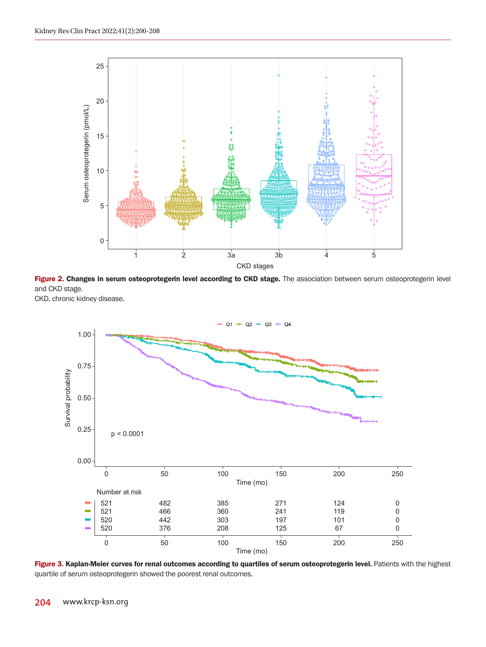

Figure 2. Changes in serum osteoprotegerin level according to CKD stage. The association between serum osteoprotegerin level and CKD stage.

CKD, chronic kidney disease.



Figure 3. Kaplan-Meier curves for renal outcomes according to quartiles of serum osteoprotegerin level. Patients with the highest quartile of serum osteoprotegerin showed the poorest renal outcomes.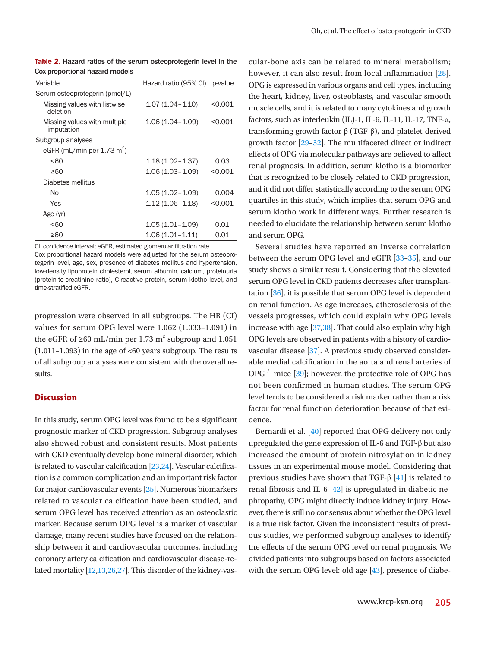| Variable                                   | Hazard ratio (95% CI) | p-value |
|--------------------------------------------|-----------------------|---------|
| Serum osteoprotegerin (pmol/L)             |                       |         |
| Missing values with listwise<br>deletion   | $1.07(1.04 - 1.10)$   | < 0.001 |
| Missing values with multiple<br>imputation | $1.06(1.04 - 1.09)$   | < 0.001 |
| Subgroup analyses                          |                       |         |
| eGFR (mL/min per $1.73$ m <sup>2</sup> )   |                       |         |
| &50                                        | $1.18(1.02 - 1.37)$   | 0.03    |
| ≥60                                        | 1.06 (1.03–1.09)      | < 0.001 |
| Diabetes mellitus                          |                       |         |
| No                                         | $1.05(1.02 - 1.09)$   | 0.004   |
| Yes                                        | 1.12 (1.06–1.18)      | < 0.001 |
| Age (yr)                                   |                       |         |
| < 60                                       | $1.05(1.01 - 1.09)$   | 0.01    |
| ≥60                                        | $1.06(1.01 - 1.11)$   | 0.01    |
|                                            |                       |         |

Table 2. Hazard ratios of the serum osteoprotegerin level in the Cox proportional hazard models

CI, confidence interval; eGFR, estimated glomerular filtration rate.

Cox proportional hazard models were adjusted for the serum osteoprotegerin level, age, sex, presence of diabetes mellitus and hypertension, low-density lipoprotein cholesterol, serum albumin, calcium, proteinuria (protein-to-creatinine ratio), C-reactive protein, serum klotho level, and time-stratified eGFR.

progression were observed in all subgroups. The HR (CI) values for serum OPG level were 1.062 (1.033–1.091) in the eGFR of  $\geq 60$  mL/min per 1.73 m<sup>2</sup> subgroup and 1.051  $(1.011-1.093)$  in the age of <60 years subgroup. The results of all subgroup analyses were consistent with the overall results.

### **Discussion**

In this study, serum OPG level was found to be a significant prognostic marker of CKD progression. Subgroup analyses also showed robust and consistent results. Most patients with CKD eventually develop bone mineral disorder, which is related to vascular calcification [\[23](#page-7-15)[,24\]](#page-7-16). Vascular calcification is a common complication and an important risk factor for major cardiovascular events [\[25\]](#page-7-17). Numerous biomarkers related to vascular calcification have been studied, and serum OPG level has received attention as an osteoclastic marker. Because serum OPG level is a marker of vascular damage, many recent studies have focused on the relationship between it and cardiovascular outcomes, including coronary artery calcification and cardiovascular disease-related mortality [\[12](#page-7-1),[13](#page-7-18)[,26,](#page-7-19)[27\]](#page-7-20). This disorder of the kidney-vas-

cular-bone axis can be related to mineral metabolism; however, it can also result from local inflammation [\[28](#page-7-21)]. OPG is expressed in various organs and cell types, including the heart, kidney, liver, osteoblasts, and vascular smooth muscle cells, and it is related to many cytokines and growth factors, such as interleukin (IL)-1, IL-6, IL-11, IL-17, TNF-α, transforming growth factor-β (TGF-β), and platelet-derived growth factor [\[29–](#page-7-22)[32\]](#page-7-23). The multifaceted direct or indirect effects of OPG via molecular pathways are believed to affect renal prognosis. In addition, serum klotho is a biomarker that is recognized to be closely related to CKD progression, and it did not differ statistically according to the serum OPG quartiles in this study, which implies that serum OPG and serum klotho work in different ways. Further research is needed to elucidate the relationship between serum klotho and serum OPG.

Several studies have reported an inverse correlation between the serum OPG level and eGFR [\[33](#page-7-24)[–35](#page-7-25)], and our study shows a similar result. Considering that the elevated serum OPG level in CKD patients decreases after transplantation [\[36](#page-8-0)], it is possible that serum OPG level is dependent on renal function. As age increases, atherosclerosis of the vessels progresses, which could explain why OPG levels increase with age [\[37](#page-8-1),[38](#page-8-2)]. That could also explain why high OPG levels are observed in patients with a history of cardiovascular disease [\[37](#page-7-24)]. A previous study observed considerable medial calcification in the aorta and renal arteries of  $OPG^{-/-}$  mice [\[39\]](#page-8-3); however, the protective role of OPG has not been confirmed in human studies. The serum OPG level tends to be considered a risk marker rather than a risk factor for renal function deterioration because of that evidence.

Bernardi et al. [\[40\]](#page-8-4) reported that OPG delivery not only upregulated the gene expression of IL-6 and TGF-β but also increased the amount of protein nitrosylation in kidney tissues in an experimental mouse model. Considering that previous studies have shown that TGF-β  $[41]$  is related to renal fibrosis and IL-6  $[42]$  is upregulated in diabetic nephropathy, OPG might directly induce kidney injury. However, there is still no consensus about whether the OPG level is a true risk factor. Given the inconsistent results of previous studies, we performed subgroup analyses to identify the effects of the serum OPG level on renal prognosis. We divided patients into subgroups based on factors associated with the serum OPG level: old age [\[43\]](#page-8-7), presence of diabe-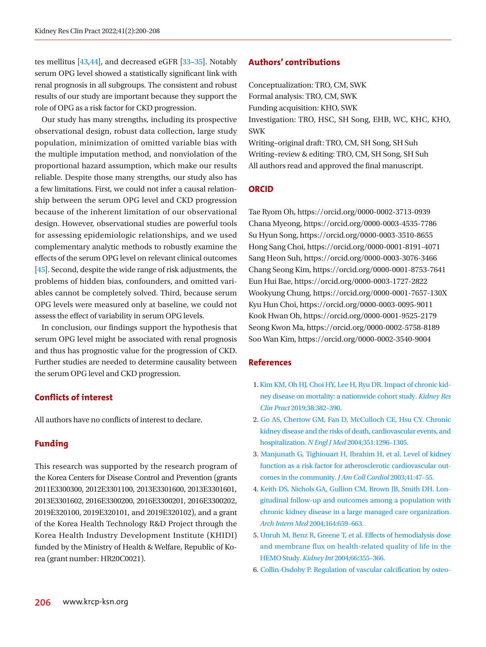tes mellitus [\[43](#page-8-3)[,44](#page-8-8)], and decreased eGFR [[33–](#page-7-22)[35\]](#page-7-26). Notably serum OPG level showed a statistically significant link with renal prognosis in all subgroups. The consistent and robust results of our study are important because they support the role of OPG as a risk factor for CKD progression.

Our study has many strengths, including its prospective observational design, robust data collection, large study population, minimization of omitted variable bias with the multiple imputation method, and nonviolation of the proportional hazard assumption, which make our results reliable. Despite those many strengths, our study also has a few limitations. First, we could not infer a causal relationship between the serum OPG level and CKD progression because of the inherent limitation of our observational design. However, observational studies are powerful tools for assessing epidemiologic relationships, and we used complementary analytic methods to robustly examine the effects of the serum OPG level on relevant clinical outcomes [\[45](#page-8-9)]. Second, despite the wide range of risk adjustments, the problems of hidden bias, confounders, and omitted variables cannot be completely solved. Third, because serum OPG levels were measured only at baseline, we could not assess the effect of variability in serum OPG levels.

In conclusion, our findings support the hypothesis that serum OPG level might be associated with renal prognosis and thus has prognostic value for the progression of CKD. Further studies are needed to determine causality between the serum OPG level and CKD progression.

# **Conflicts of interest**

All authors have no conflicts of interest to declare.

# **Funding**

This research was supported by the research program of the Korea Centers for Disease Control and Prevention (grants 2011E3300300, 2012E3301100, 2013E3301600, 2013E3301601, 2013E3301602, 2016E3300200, 2016E3300201, 2016E3300202, 2019E320100, 2019E320101, and 2019E320102), and a grant of the Korea Health Technology R&D Project through the Korea Health Industry Development Institute (KHIDI) funded by the Ministry of Health & Welfare, Republic of Korea (grant number: HR20C0021).

# **Authors' contributions**

Conceptualization: TRO, CM, SWK Formal analysis: TRO, CM, SWK Funding acquisition: KHO, SWK Investigation: TRO, HSC, SH Song, EHB, WC, KHC, KHO, SWK Writing–original draft: TRO, CM, SH Song, SH Suh Writing–review & editing: TRO, CM, SH Song, SH Suh All authors read and approved the final manuscript.

# **ORCID**

Tae Ryom Oh, https://orcid.org/0000-0002-3713-0939 Chana Myeong, https://orcid.org/0000-0003-4535-7786 Su Hyun Song, https://orcid.org/0000-0003-3510-8655 Hong Sang Choi, https://orcid.org/0000-0001-8191-4071 Sang Heon Suh, https://orcid.org/0000-0003-3076-3466 Chang Seong Kim, https://orcid.org/0000-0001-8753-7641 Eun Hui Bae, https://orcid.org/0000-0003-1727-2822 Wookyung Chung, https://orcid.org/0000-0001-7657-130X Kyu Hun Choi, https://orcid.org/0000-0003-0095-9011 Kook Hwan Oh, https://orcid.org/0000-0001-9525-2179 Seong Kwon Ma, https://orcid.org/0000-0002-5758-8189 Soo Wan Kim, https://orcid.org/0000-0002-3540-9004

# **References**

- <span id="page-6-0"></span>1. [Kim KM, Oh HJ, Choi HY, Lee H, Ryu DR. Impact of chronic kid](https://doi.org/10.23876/j.krcp.18.0128)[ney disease on mortality: a nationwide cohort study.](https://doi.org/10.23876/j.krcp.18.0128) *Kidney Res Clin Pract* [2019;38:382–390.](https://doi.org/10.23876/j.krcp.18.0128)
- <span id="page-6-1"></span>2. [Go AS, Chertow GM, Fan D, McCulloch CE, Hsu CY. Chronic](https://doi.org/10.1056/nejmoa041031)  [kidney disease and the risks of death, cardiovascular events, and](https://doi.org/10.1056/nejmoa041031)  hospitalization. *N Engl J Med* [2004;351:1296–1305.](https://doi.org/10.1056/nejmoa041031)
- 3. [Manjunath G, Tighiouart H, Ibrahim H, et al. Level of kidney](https://doi.org/10.1016/s0735-1097(02)02663-3)  [function as a risk factor for atherosclerotic cardiovascular out](https://doi.org/10.1016/s0735-1097(02)02663-3)[comes in the community.](https://doi.org/10.1016/s0735-1097(02)02663-3) *J Am Coll Cardiol* 2003;41:47–55.
- <span id="page-6-2"></span>4. [Keith DS, Nichols GA, Gullion CM, Brown JB, Smith DH. Lon](https://doi.org/10.1001/archinte.164.6.659)[gitudinal follow-up and outcomes among a population with](https://doi.org/10.1001/archinte.164.6.659)  [chronic kidney disease in a large managed care organization.](https://doi.org/10.1001/archinte.164.6.659)  *Arch Intern Med* [2004;164:659–663.](https://doi.org/10.1001/archinte.164.6.659)
- <span id="page-6-3"></span>5[. Unruh M, Benz R, Greene T, et al. Effects of hemodialysis dose](https://doi.org/10.1111/j.1523-1755.2004.00738.x)  [and membrane flux on health-related quality of life in the](https://doi.org/10.1111/j.1523-1755.2004.00738.x)  HEMO Study. *Kidney Int* [2004;66:355–366](https://doi.org/10.1111/j.1523-1755.2004.00738.x).
- <span id="page-6-4"></span>6[. Collin-Osdoby P. Regulation of vascular calcification by osteo-](https://doi.org/10.1161/01.res.0000149165.99974.12)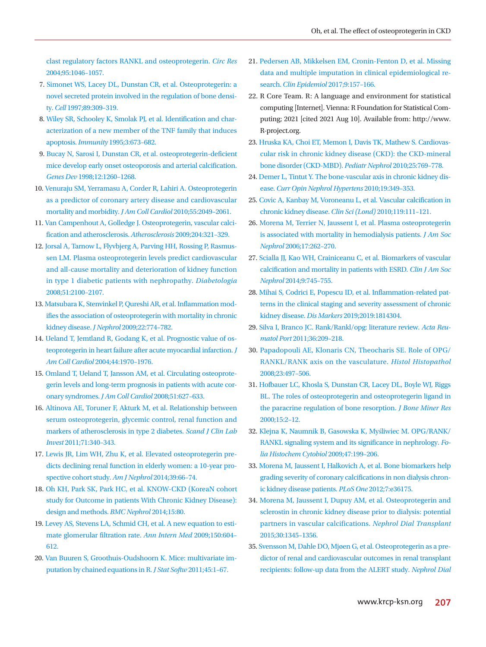[clast regulatory factors RANKL and osteoprotegerin.](https://doi.org/10.1161/01.res.0000149165.99974.12) *Circ Res*  [2004;95:1046–1057](https://doi.org/10.1161/01.res.0000149165.99974.12).

- <span id="page-7-0"></span>7[. Simonet WS, Lacey DL, Dunstan CR, et al. Osteoprotegerin: a](https://doi.org/10.1016/s0092-8674(00)80209-3)  [novel secreted protein involved in the regulation of bone densi](https://doi.org/10.1016/s0092-8674(00)80209-3)ty. *Cell* [1997;89:309–319.](https://doi.org/10.1016/s0092-8674(00)80209-3)
- <span id="page-7-1"></span>8. Wi[ley SR, Schooley K, Smolak PJ, et al. Identification and char](https://doi.org/10.1016/1074-7613(95)90057-8)[acterization of a new member of the TNF family that induces](https://doi.org/10.1016/1074-7613(95)90057-8)  apoptosis. *Immunity* [1995;3:673–682.](https://doi.org/10.1016/1074-7613(95)90057-8)
- <span id="page-7-2"></span>9[. Bucay N, Sarosi I, Dunstan CR, et al. osteoprotegerin-deficient](https://doi.org/10.1101/gad.12.9.1260)  [mice develop early onset osteoporosis and arterial calcification.](https://doi.org/10.1101/gad.12.9.1260)  *Genes Dev* [1998;12:1260–1268.](https://doi.org/10.1101/gad.12.9.1260)
- <span id="page-7-18"></span>1[0. Venuraju SM, Yerramasu A, Corder R, Lahiri A. Osteoprotegerin](https://doi.org/10.1016/j.jacc.2010.03.013)  [as a predictor of coronary artery disease and cardiovascular](https://doi.org/10.1016/j.jacc.2010.03.013)  [mortality and morbidity.](https://doi.org/10.1016/j.jacc.2010.03.013) *J Am Coll Cardiol* 2010;55:2049–2061.
- <span id="page-7-3"></span>1[1. Van Campenhout A, Golledge J. Osteoprotegerin, vascular calci](https://doi.org/10.1016/j.atherosclerosis.2008.09.033)[fication and atherosclerosis.](https://doi.org/10.1016/j.atherosclerosis.2008.09.033) *Atherosclerosis* 2009;204:321–329.
- <span id="page-7-4"></span>1[2. Jorsal A, Tarnow L, Flyvbjerg A, Parving HH, Rossing P, Rasmus](https://doi.org/10.1007/s00125-008-1123-8)[sen LM. Plasma osteoprotegerin levels predict cardiovascular](https://doi.org/10.1007/s00125-008-1123-8)  [and all-cause mortality and deterioration of kidney function](https://doi.org/10.1007/s00125-008-1123-8)  [in type 1 diabetic patients with nephropathy.](https://doi.org/10.1007/s00125-008-1123-8) *Diabetologia* 2008;51:2100–2107.
- <span id="page-7-5"></span>1[3. Matsubara K, Stenvinkel P, Qureshi AR, et al. Inflammation mod](https://www.ncbi.nlm.nih.gov/pubmed/19967657)[ifies the association of osteoprotegerin with mortality in chronic](https://www.ncbi.nlm.nih.gov/pubmed/19967657)  kidney disease. *J Nephrol* [2009;22:774–782.](https://www.ncbi.nlm.nih.gov/pubmed/19967657)
- <span id="page-7-6"></span>1[4. Ueland T, Jemtland R, Godang K, et al. Prognostic value of os](https://doi.org/10.1016/j.accreview.2005.02.049)[teoprotegerin in heart failure after acute myocardial infarction.](https://doi.org/10.1016/j.accreview.2005.02.049) *J Am Coll Cardiol* [2004;44:1970–1976](https://doi.org/10.1016/j.accreview.2005.02.049).
- <span id="page-7-7"></span>1[5. Omland T, Ueland T, Jansson AM, et al. Circulating osteoprote](https://doi.org/10.1016/j.jacc.2007.09.058)[gerin levels and long-term prognosis in patients with acute cor](https://doi.org/10.1016/j.jacc.2007.09.058)[onary syndromes.](https://doi.org/10.1016/j.jacc.2007.09.058) *J Am Coll Cardiol* 2008;51:627–633.
- <span id="page-7-8"></span>1[6. Altinova AE, Toruner F, Akturk M, et al. Relationship between](https://doi.org/10.3109/00365513.2011.570868)  [serum osteoprotegerin, glycemic control, renal function and](https://doi.org/10.3109/00365513.2011.570868)  [markers of atherosclerosis in type 2 diabetes.](https://doi.org/10.3109/00365513.2011.570868) *Scand J Clin Lab Invest* [2011;71:340–343.](https://doi.org/10.3109/00365513.2011.570868)
- <span id="page-7-9"></span>1[7. Lewis JR, Lim WH, Zhu K, et al. Elevated osteoprotegerin pre](https://doi.org/10.1159/000357787)[dicts declining renal function in elderly women: a 10-year pro](https://doi.org/10.1159/000357787)[spective cohort study.](https://doi.org/10.1159/000357787) *Am J Nephrol* 2014;39:66–74.
- <span id="page-7-10"></span>1[8. Oh KH, Park SK, Park HC, et al. KNOW-CKD \(KoreaN cohort](https://doi.org/10.1186/1471-2369-15-80)  [study for Outcome in patients With Chronic Kidney Disease\):](https://doi.org/10.1186/1471-2369-15-80)  [design and methods.](https://doi.org/10.1186/1471-2369-15-80) *BMC Nephrol* 2014;15:80.
- 1[9. Levey AS, Stevens LA, Schmid CH, et al. A new equation to esti](https://doi.org/10.7326/0003-4819-150-9-200905050-00006)[mate glomerular filtration rate.](https://doi.org/10.7326/0003-4819-150-9-200905050-00006) *Ann Intern Med* 2009;150:604– [612.](https://doi.org/10.7326/0003-4819-150-9-200905050-00006)
- <span id="page-7-12"></span>20. [Van Buuren S, Groothuis-Oudshoorn K. Mice: multivariate im](https://doi.org/10.18637/jss.v045.i03)[putation by chained equations in R.](https://doi.org/10.18637/jss.v045.i03) *J Stat Softw* 2011;45:1–67.
- <span id="page-7-13"></span>21. [Pedersen AB, Mikkelsen EM, Cronin-Fenton D, et al. Missing](https://doi.org/10.2147/clep.s129785)  [data and multiple imputation in clinical epidemiological re](https://doi.org/10.2147/clep.s129785)search. *Clin Epidemiol* [2017;9:157–166.](https://doi.org/10.2147/clep.s129785)
- <span id="page-7-14"></span>22. R Core Team. R: A language and environment for statistical computing [Internet]. Vienna: R Foundation for Statistical Computing; 2021 [cited 2021 Aug 10]. Available from: [http://www.](http://www.R-project.org) [R-project.org.](http://www.R-project.org)
- <span id="page-7-15"></span>23. [Hruska KA, Choi ET, Memon I, Davis TK, Mathew S. Cardiovas](https://doi.org/10.1007/s00467-009-1337-0)[cular risk in chronic kidney disease \(CKD\): the CKD-mineral](https://doi.org/10.1007/s00467-009-1337-0)  [bone disorder \(CKD-MBD\).](https://doi.org/10.1007/s00467-009-1337-0) *Pediatr Nephrol* 2010;25:769–778.
- <span id="page-7-16"></span>2[4. Demer L, Tintut Y. The bone-vascular axis in chronic kidney dis](https://doi.org/10.1097/mnh.0b013e32833a3d67)ease. *[Curr Opin Nephrol Hypertens](https://doi.org/10.1097/mnh.0b013e32833a3d67)* 2010;19:349–353.
- <span id="page-7-17"></span>2[5. Covic A, Kanbay M, Voroneanu L, et al. Vascular calcification in](https://doi.org/10.1042/cs20090631)  [chronic kidney disease.](https://doi.org/10.1042/cs20090631) *Clin Sci (Lond)* 2010;119:111–121.
- <span id="page-7-19"></span>26[. Morena M, Terrier N, Jaussent I, et al. Plasma osteoprotegerin](https://doi.org/10.1681/asn.2005030260)  [is associated with mortality in hemodialysis patients.](https://doi.org/10.1681/asn.2005030260) *J Am Soc Nephrol* [2006;17:262–270.](https://doi.org/10.1681/asn.2005030260)
- <span id="page-7-20"></span>2[7. Scialla JJ, Kao WH, Crainiceanu C, et al. Biomarkers of vascular](https://doi.org/10.2215/cjn.05450513)  [calcification and mortality in patients with ESRD.](https://doi.org/10.2215/cjn.05450513) *Clin J Am Soc Nephrol* [2014;9:745–755.](https://doi.org/10.2215/cjn.05450513)
- <span id="page-7-21"></span>2[8. Mihai S, Codrici E, Popescu ID, et al. Inflammation-related pat](https://doi.org/10.1155/2019/1814304)[terns in the clinical staging and severity assessment of chronic](https://doi.org/10.1155/2019/1814304)  kidney disease. *Dis Markers* [2019;2019:1814304](https://doi.org/10.1155/2019/1814304).
- <span id="page-7-22"></span>29. Silva I, B[ranco JC. Rank/Rankl/opg: literature review.](https://www.ncbi.nlm.nih.gov/pubmed/22113597) *Acta Reumatol Port* [2011;36:209–218.](https://www.ncbi.nlm.nih.gov/pubmed/22113597)
- 30. [Papadopouli AE, Klonaris CN, Theocharis SE. Role of OPG/](https://doi.org/10.14670/hh-23.497) [RANKL/RANK axis on the vasculature.](https://doi.org/10.14670/hh-23.497) *Histol Histopathol*  [2008;23:497–506.](https://doi.org/10.14670/hh-23.497)
- <span id="page-7-26"></span>3[1. Hofbauer LC, Khosla S, Dunstan CR, Lacey DL, Boyle WJ, Riggs](https://doi.org/10.1359/jbmr.2000.15.1.2)  [BL. The roles of osteoprotegerin and osteoprotegerin ligand in](https://doi.org/10.1359/jbmr.2000.15.1.2)  [the paracrine regulation of bone resorption.](https://doi.org/10.1359/jbmr.2000.15.1.2) *J Bone Miner Res*  [2000;15:2–12.](https://doi.org/10.1359/jbmr.2000.15.1.2)
- <span id="page-7-23"></span>3[2. Klejna K, Naumnik B, Gasowska K, My](https://doi.org/10.2478/v10042-009-0035-x)śliwiec M. OPG/RANK/ [RANKL signaling system and its significance in neph](https://doi.org/10.2478/v10042-009-0035-x)rology. *Folia Histochem Cytobiol* 2009;47:199–206.
- <span id="page-7-24"></span>33. [Morena M, Jaussent I, Halkovich A, et al. Bone biomarkers help](https://doi.org/10.1371/journal.pone.0036175)  [grading severity of coronary calcifications in non dialysis chron](https://doi.org/10.1371/journal.pone.0036175)[ic kidney disease patients.](https://doi.org/10.1371/journal.pone.0036175) *PLoS One* 2012;7:e36175.
- <span id="page-7-11"></span>34. [Morena M, Jaussent I, Dupuy AM, et al. Osteoprotegerin and](https://doi.org/10.1093/ndt/gfv081)  [sclerostin in chronic kidney disease prior to dialysis: potential](https://doi.org/10.1093/ndt/gfv081)  [partners in vascular calcifications.](https://doi.org/10.1093/ndt/gfv081) *Nephrol Dial Transplant*  [2015;30:1345–1356.](https://doi.org/10.1093/ndt/gfv081)
- <span id="page-7-25"></span>3[5. Svensson M, Dahle DO, Mjøen G, et al. Osteop](https://doi.org/10.1093/ndt/gfr694)rotegerin as a predictor of renal and cardiovascular outcomes in renal transplant recipients: follow-up data from the ALERT study. *Nephrol Dial*